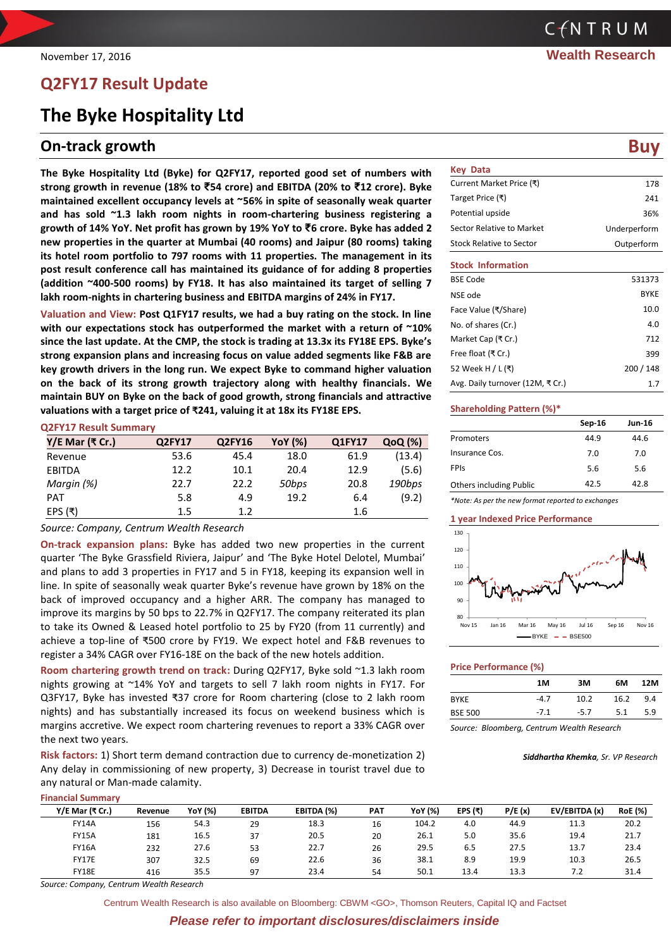# **Q2FY17 Result Update**

# **The Byke Hospitality Ltd**

# **On-track growth Buy**

**The Byke Hospitality Ltd (Byke) for Q2FY17, reported good set of numbers with strong growth in revenue (18% to ₹54 crore) and EBITDA (20% to ₹12 crore). Byke maintained excellent occupancy levels at ~56% in spite of seasonally weak quarter and has sold ~1.3 lakh room nights in room-chartering business registering a growth of 14% YoY. Net profit has grown by 19% YoY to ₹6 crore. Byke has added 2 new properties in the quarter at Mumbai (40 rooms) and Jaipur (80 rooms) taking its hotel room portfolio to 797 rooms with 11 properties. The management in its post result conference call has maintained its guidance of for adding 8 properties (addition ~400-500 rooms) by FY18. It has also maintained its target of selling 7 lakh room-nights in chartering business and EBITDA margins of 24% in FY17.**

**Valuation and View: Post Q1FY17 results, we had a buy rating on the stock. In line with our expectations stock has outperformed the market with a return of ~10% since the last update. At the CMP, the stock is trading at 13.3x its FY18E EPS. Byke's strong expansion plans and increasing focus on value added segments like F&B are key growth drivers in the long run. We expect Byke to command higher valuation on the back of its strong growth trajectory along with healthy financials. We maintain BUY on Byke on the back of good growth, strong financials and attractive valuations with a target price of ₹241, valuing it at 18x its FY18E EPS.**

## **Q2FY17 Result Summary**

| Y/E Mar (₹ Cr.) | Q2FY17 | Q2FY16 | <b>YoY</b> (%) | Q1FY17 | QoQ (%) |
|-----------------|--------|--------|----------------|--------|---------|
| Revenue         | 53.6   | 45.4   | 18.0           | 61.9   | (13.4)  |
| EBITDA          | 12.2   | 10.1   | 20.4           | 12.9   | (5.6)   |
| Margin (%)      | 22.7   | 22.2   | 50bps          | 20.8   | 190bps  |
| <b>PAT</b>      | 5.8    | 4.9    | 19.2           | 6.4    | (9.2)   |
| EPS $(₹)$       | 1.5    | 1.2    |                | 1.6    |         |

*Source: Company, Centrum Wealth Research*

**On-track expansion plans:** Byke has added two new properties in the current quarter 'The Byke Grassfield Riviera, Jaipur' and 'The Byke Hotel Delotel, Mumbai' and plans to add 3 properties in FY17 and 5 in FY18, keeping its expansion well in line. In spite of seasonally weak quarter Byke's revenue have grown by 18% on the back of improved occupancy and a higher ARR. The company has managed to improve its margins by 50 bps to 22.7% in Q2FY17. The company reiterated its plan to take its Owned & Leased hotel portfolio to 25 by FY20 (from 11 currently) and achieve a top-line of ₹500 crore by FY19. We expect hotel and F&B revenues to register a 34% CAGR over FY16-18E on the back of the new hotels addition.

**Room chartering growth trend on track:** During Q2FY17, Byke sold ~1.3 lakh room nights growing at ~14% YoY and targets to sell 7 lakh room nights in FY17. For Q3FY17, Byke has invested ₹37 crore for Room chartering (close to 2 lakh room nights) and has substantially increased its focus on weekend business which is margins accretive. We expect room chartering revenues to report a 33% CAGR over the next two years.

**Risk factors:** 1) Short term demand contraction due to currency de-monetization 2) Any delay in commissioning of new property, 3) Decrease in tourist travel due to any natural or Man-made calamity.

# **Financial Summary**

| Y/E Mar (₹ Cr.) | Revenue | YoY (%) | <b>EBITDA</b> | EBITDA (%) | <b>PAT</b> | YoY (%) | EPS $(3)$ | P/E(x) | EV/EBITDA (x) | <b>RoE</b> (%) |
|-----------------|---------|---------|---------------|------------|------------|---------|-----------|--------|---------------|----------------|
| <b>FY14A</b>    | 156     | 54.3    | 29            | 18.3       | 16         | 104.2   | 4.0       | 44.9   | 11.3          | 20.2           |
| <b>FY15A</b>    | 181     | 16.5    | 37            | 20.5       | 20         | 26.1    | 5.0       | 35.6   | 19.4          | 21.7           |
| <b>FY16A</b>    | 232     | 27.6    | 53            | 22.7       | 26         | 29.5    | 6.5       | 27.5   | 13.7          | 23.4           |
| FY17E           | 307     | 32.5    | 69            | 22.6       | 36         | 38.1    | 8.9       | 19.9   | 10.3          | 26.5           |
| <b>FY18E</b>    | 416     | 35.5    | 97            | 23.4       | 54         | 50.1    | 13.4      | 13.3   | 7.2           | 31.4           |

*Source: Company, Centrum Wealth Research*

Centrum Wealth Research is also available on Bloomberg: CBWM <GO>, Thomson Reuters, Capital IQ and Factset

| Key Data                         |              |
|----------------------------------|--------------|
| Current Market Price (₹)         | 178          |
| Target Price (₹)                 | 241          |
| Potential upside                 | 36%          |
| Sector Relative to Market        | Underperform |
| Stock Relative to Sector         | Outperform   |
| <b>Stock Information</b>         |              |
| <b>BSE Code</b>                  | 531373       |
| NSE ode                          | <b>BYKE</b>  |
| Face Value (₹/Share)             | 10.0         |
| No. of shares (Cr.)              | 4.0          |
| Market Cap (₹ Cr.)               | 712          |
| Free float (₹ Cr.)               | 399          |
| 52 Week H / L (₹)                | 200 / 148    |
| Avg. Daily turnover (12M, ₹ Cr.) | 1.7          |

#### **Shareholding Pattern (%)\***

| Sep-16 | Jun-16 |  |
|--------|--------|--|
| 44.9   | 44.6   |  |
| 7.0    | 7.0    |  |
| 5.6    | 5.6    |  |
| 42.5   | 42.8   |  |
|        |        |  |

*\*Note: As per the new format reported to exchanges*

# **1 year Indexed Price Performance**



#### **Price Performance (%)**

|                | 1M     | 3M     | 6М   | 12M |
|----------------|--------|--------|------|-----|
| <b>BYKE</b>    | $-4.7$ | 10.2   | 16.2 | 9.4 |
| <b>BSE 500</b> | $-7.1$ | $-5.7$ | 5.1  | 5.9 |
|                |        |        |      |     |

*Source: Bloomberg, Centrum Wealth Research*

#### *Siddhartha Khemka, Sr. VP Research*

*Please refer to important disclosures/disclaimers inside*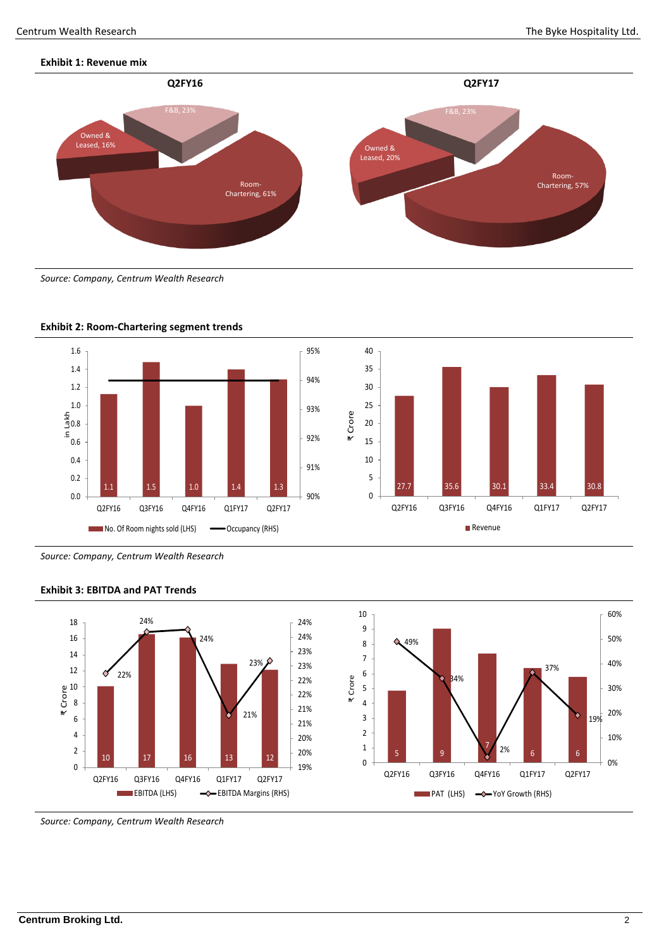# **Exhibit 1: Revenue mix**



*Source: Company, Centrum Wealth Research*



**Exhibit 2: Room-Chartering segment trends**

*Source: Company, Centrum Wealth Research*



# **Exhibit 3: EBITDA and PAT Trends**

*Source: Company, Centrum Wealth Research*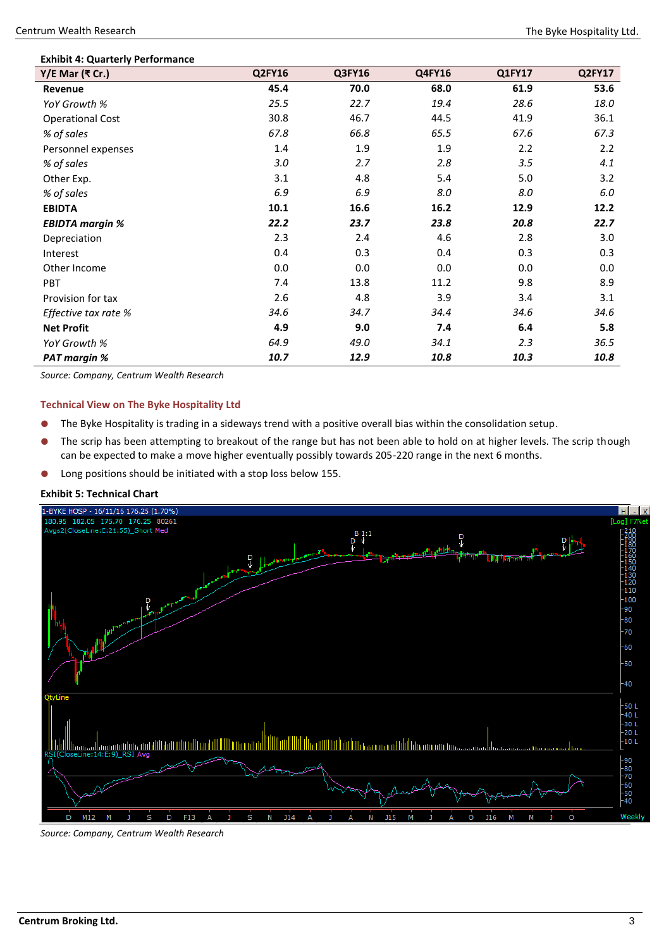$\overline{\phantom{a}}$ 

# **Exhibit 4: Quarterly Performance**

| LATINIC 7. QUALICITY FELIOLITIQUE<br>Y/E Mar (₹ Cr.) | <b>Q2FY16</b> | Q3FY16 | Q4FY16 | Q1FY17 | Q2FY17 |
|------------------------------------------------------|---------------|--------|--------|--------|--------|
| Revenue                                              | 45.4          | 70.0   | 68.0   | 61.9   | 53.6   |
| YoY Growth %                                         | 25.5          | 22.7   | 19.4   | 28.6   | 18.0   |
| <b>Operational Cost</b>                              | 30.8          | 46.7   | 44.5   | 41.9   | 36.1   |
| % of sales                                           | 67.8          | 66.8   | 65.5   | 67.6   | 67.3   |
| Personnel expenses                                   | 1.4           | 1.9    | 1.9    | 2.2    | 2.2    |
| % of sales                                           | 3.0           | 2.7    | 2.8    | 3.5    | 4.1    |
| Other Exp.                                           | 3.1           | 4.8    | 5.4    | 5.0    | 3.2    |
| % of sales                                           | 6.9           | 6.9    | 8.0    | 8.0    | 6.0    |
| <b>EBIDTA</b>                                        | 10.1          | 16.6   | 16.2   | 12.9   | 12.2   |
| <b>EBIDTA margin %</b>                               | 22.2          | 23.7   | 23.8   | 20.8   | 22.7   |
| Depreciation                                         | 2.3           | 2.4    | 4.6    | 2.8    | 3.0    |
| Interest                                             | 0.4           | 0.3    | 0.4    | 0.3    | 0.3    |
| Other Income                                         | 0.0           | 0.0    | 0.0    | 0.0    | 0.0    |
| <b>PBT</b>                                           | 7.4           | 13.8   | 11.2   | 9.8    | 8.9    |
| Provision for tax                                    | 2.6           | 4.8    | 3.9    | 3.4    | 3.1    |
| Effective tax rate %                                 | 34.6          | 34.7   | 34.4   | 34.6   | 34.6   |
| <b>Net Profit</b>                                    | 4.9           | 9.0    | 7.4    | 6.4    | 5.8    |
| YoY Growth %                                         | 64.9          | 49.0   | 34.1   | 2.3    | 36.5   |
| <b>PAT margin %</b>                                  | 10.7          | 12.9   | 10.8   | 10.3   | 10.8   |

*Source: Company, Centrum Wealth Research*

# **Technical View on The Byke Hospitality Ltd**

- The Byke Hospitality is trading in a sideways trend with a positive overall bias within the consolidation setup.
- The scrip has been attempting to breakout of the range but has not been able to hold on at higher levels. The scrip though can be expected to make a move higher eventually possibly towards 205-220 range in the next 6 months.
- Long positions should be initiated with a stop loss below 155.

# **Exhibit 5: Technical Chart**



*Source: Company, Centrum Wealth Research*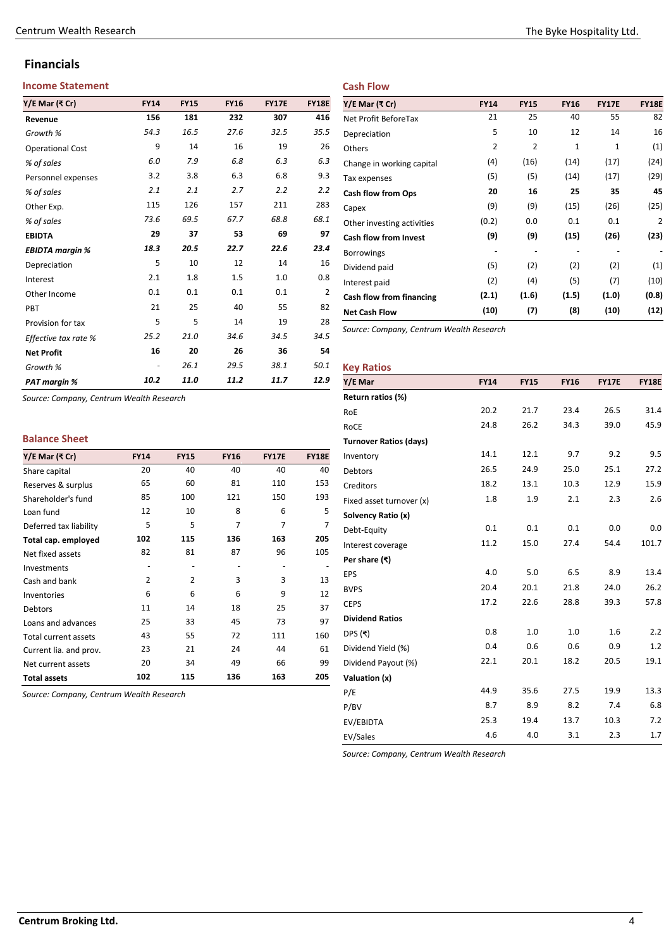# **Financials**

# **Income Statement**

| Y/E Mar (₹ Cr)          | <b>FY14</b> | <b>FY15</b> | <b>FY16</b> | <b>FY17E</b> | <b>FY18E</b>   |
|-------------------------|-------------|-------------|-------------|--------------|----------------|
| Revenue                 | 156         | 181         | 232         | 307          | 416            |
| Growth %                | 54.3        | 16.5        | 27.6        | 32.5         | 35.5           |
| <b>Operational Cost</b> | 9           | 14          | 16          | 19           | 26             |
| % of sales              | 6.0         | 7.9         | 6.8         | 6.3          | 6.3            |
| Personnel expenses      | 3.2         | 3.8         | 6.3         | 6.8          | 9.3            |
| % of sales              | 2.1         | 2.1         | 2.7         | 2.2          | 2.2            |
| Other Exp.              | 115         | 126         | 157         | 211          | 283            |
| % of sales              | 73.6        | 69.5        | 67.7        | 68.8         | 68.1           |
| <b>EBIDTA</b>           | 29          | 37          | 53          | 69           | 97             |
| <b>EBIDTA margin %</b>  | 18.3        | 20.5        | 22.7        | 22.6         | 23.4           |
| Depreciation            | 5           | 10          | 12          | 14           | 16             |
| Interest                | 2.1         | 1.8         | 1.5         | 1.0          | 0.8            |
| Other Income            | 0.1         | 0.1         | 0.1         | 0.1          | $\overline{2}$ |
| PBT                     | 21          | 25          | 40          | 55           | 82             |
| Provision for tax       | 5           | 5           | 14          | 19           | 28             |
| Effective tax rate %    | 25.2        | 21.0        | 34.6        | 34.5         | 34.5           |
| <b>Net Profit</b>       | 16          | 20          | 26          | 36           | 54             |
| Growth %                |             | 26.1        | 29.5        | 38.1         | 50.1           |
| PAT margin %            | 10.2        | 11.0        | 11.2        | 11.7         | 12.9           |

*Source: Company, Centrum Wealth Research*

# **Balance Sheet**

| Y/E Mar (₹ Cr)              | <b>FY14</b>    | <b>FY15</b>    | <b>FY16</b> | <b>FY17E</b> | <b>FY18E</b>   |
|-----------------------------|----------------|----------------|-------------|--------------|----------------|
| Share capital               | 20             | 40             | 40          | 40           | 40             |
| Reserves & surplus          | 65             | 60             | 81          | 110          | 153            |
| Shareholder's fund          | 85             | 100            | 121         | 150          | 193            |
| Loan fund                   | 12             | 10             | 8           | 6            | 5              |
| Deferred tax liability      | 5              | 5              | 7           | 7            | $\overline{7}$ |
| Total cap. employed         | 102            | 115            | 136         | 163          | 205            |
| Net fixed assets            | 82             | 81             | 87          | 96           | 105            |
| Investments                 |                |                |             |              |                |
| Cash and bank               | $\overline{2}$ | $\overline{2}$ | 3           | 3            | 13             |
| Inventories                 | 6              | 6              | 6           | 9            | 12             |
| <b>Debtors</b>              | 11             | 14             | 18          | 25           | 37             |
| Loans and advances          | 25             | 33             | 45          | 73           | 97             |
| <b>Total current assets</b> | 43             | 55             | 72          | 111          | 160            |
| Current lia. and prov.      | 23             | 21             | 24          | 44           | 61             |
| Net current assets          | 20             | 34             | 49          | 66           | 99             |
| <b>Total assets</b>         | 102            | 115            | 136         | 163          | 205            |

*Source: Company, Centrum Wealth Research*

# **Cash Flow**

| Y/E Mar (₹ Cr)               | <b>FY14</b>    | <b>FY15</b>    | <b>FY16</b>  | <b>FY17E</b> | <b>FY18E</b>   |
|------------------------------|----------------|----------------|--------------|--------------|----------------|
| Net Profit BeforeTax         | 21             | 25             | 40           | 55           | 82             |
| Depreciation                 | 5              | 10             | 12           | 14           | 16             |
| Others                       | $\overline{2}$ | $\overline{2}$ | $\mathbf{1}$ | $\mathbf{1}$ | (1)            |
| Change in working capital    | (4)            | (16)           | (14)         | (17)         | (24)           |
| Tax expenses                 | (5)            | (5)            | (14)         | (17)         | (29)           |
| Cash flow from Ops           | 20             | 16             | 25           | 35           | 45             |
| Capex                        | (9)            | (9)            | (15)         | (26)         | (25)           |
| Other investing activities   | (0.2)          | 0.0            | 0.1          | 0.1          | $\overline{2}$ |
| <b>Cash flow from Invest</b> | (9)            | (9)            | (15)         | (26)         | (23)           |
| <b>Borrowings</b>            |                |                |              |              |                |
| Dividend paid                | (5)            | (2)            | (2)          | (2)          | (1)            |
| Interest paid                | (2)            | (4)            | (5)          | (7)          | (10)           |
| Cash flow from financing     | (2.1)          | (1.6)          | (1.5)        | (1.0)        | (0.8)          |
| <b>Net Cash Flow</b>         | (10)           | (7)            | (8)          | (10)         | (12)           |

*Source: Company, Centrum Wealth Research*

| <b>Key Ratios</b>             |             |             |             |              |              |
|-------------------------------|-------------|-------------|-------------|--------------|--------------|
| Y/E Mar                       | <b>FY14</b> | <b>FY15</b> | <b>FY16</b> | <b>FY17E</b> | <b>FY18E</b> |
| Return ratios (%)             |             |             |             |              |              |
| <b>RoE</b>                    | 20.2        | 21.7        | 23.4        | 26.5         | 31.4         |
| <b>RoCE</b>                   | 24.8        | 26.2        | 34.3        | 39.0         | 45.9         |
| <b>Turnover Ratios (days)</b> |             |             |             |              |              |
| Inventory                     | 14.1        | 12.1        | 9.7         | 9.2          | 9.5          |
| Debtors                       | 26.5        | 24.9        | 25.0        | 25.1         | 27.2         |
| Creditors                     | 18.2        | 13.1        | 10.3        | 12.9         | 15.9         |
| Fixed asset turnover (x)      | 1.8         | 1.9         | 2.1         | 2.3          | 2.6          |
| Solvency Ratio (x)            |             |             |             |              |              |
| Debt-Equity                   | 0.1         | 0.1         | 0.1         | 0.0          | 0.0          |
| Interest coverage             | 11.2        | 15.0        | 27.4        | 54.4         | 101.7        |
| Per share (₹)                 |             |             |             |              |              |
| <b>EPS</b>                    | 4.0         | 5.0         | 6.5         | 8.9          | 13.4         |
| <b>BVPS</b>                   | 20.4        | 20.1        | 21.8        | 24.0         | 26.2         |
| <b>CEPS</b>                   | 17.2        | 22.6        | 28.8        | 39.3         | 57.8         |
| <b>Dividend Ratios</b>        |             |             |             |              |              |
| DPS $($ ₹)                    | 0.8         | 1.0         | 1.0         | 1.6          | 2.2          |
| Dividend Yield (%)            | 0.4         | 0.6         | 0.6         | 0.9          | 1.2          |
| Dividend Payout (%)           | 22.1        | 20.1        | 18.2        | 20.5         | 19.1         |
| Valuation (x)                 |             |             |             |              |              |
| P/E                           | 44.9        | 35.6        | 27.5        | 19.9         | 13.3         |
| P/BV                          | 8.7         | 8.9         | 8.2         | 7.4          | 6.8          |
| EV/EBIDTA                     | 25.3        | 19.4        | 13.7        | 10.3         | 7.2          |
| EV/Sales                      | 4.6         | 4.0         | 3.1         | 2.3          | 1.7          |

*Source: Company, Centrum Wealth Research*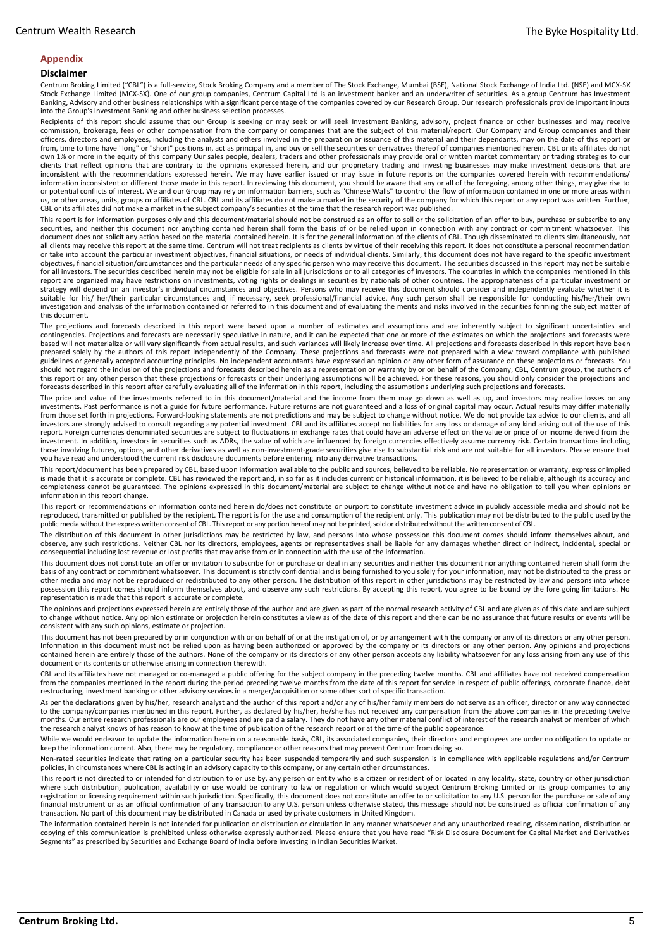# **Appendix**

#### **Disclaimer**

Centrum Broking Limited ("CBL") is a full-service, Stock Broking Company and a member of The Stock Exchange, Mumbai (BSE), National Stock Exchange of India Ltd. (NSE) and MCX-SX Stock Exchange Limited (MCX-SX). One of our group companies, Centrum Capital Ltd is an investment banker and an underwriter of securities. As a group Centrum has Investment Banking, Advisory and other business relationships with a significant percentage of the companies covered by our Research Group. Our research professionals provide important inputs into the Group's Investment Banking and other business selection processes.

Recipients of this report should assume that our Group is seeking or may seek or will seek Investment Banking, advisory, project finance or other businesses and may receive commission, brokerage, fees or other compensation from the company or companies that are the subject of this material/report. Our Company and Group companies and their officers, directors and employees, including the analysts and others involved in the preparation or issuance of this material and their dependants, may on the date of this report or from, time to time have "long" or "short" positions in, act as principal in, and buy or sell the securities or derivatives thereof of companies mentioned herein. CBL or its affiliates do not own 1% or more in the equity of this company Our sales people, dealers, traders and other professionals may provide oral or written market commentary or trading strategies to our clients that reflect opinions that are contrary to the opinions expressed herein, and our proprietary trading and investing businesses may make investment decisions that are<br>inconsistent with the recommendations expressed information inconsistent or different those made in this report. In reviewing this document, you should be aware that any or all of the foregoing, among other things, may give rise to or potential conflicts of interest. We and our Group may rely on information barriers, such as "Chinese Walls" to control the flow of information contained in one or more areas within us, or other areas, units, groups or affiliates of CBL. CBL and its affiliates do not make a market in the security of the company for which this report or any report was written. Further, CBL or its affiliates did not make a market in the subject company's securities at the time that the research report was published.

This report is for information purposes only and this document/material should not be construed as an offer to sell or the solicitation of an offer to buy, purchase or subscribe to any securities, and neither this document nor anything contained herein shall form the basis of or be relied upon in connection with any contract or commitment whatsoever. This document does not solicit any action based on the material contained herein. It is for the general information of the clients of CBL. Though disseminated to clients simultaneously, not all clients may receive this report at the same time. Centrum will not treat recipients as clients by virtue of their receiving this report. It does not constitute a personal recommendation or take into account the particular investment objectives, financial situations, or needs of individual clients. Similarly, this document does not have regard to the specific investment objectives, financial situation/circumstances and the particular needs of any specific person who may receive this document. The securities discussed in this report may not be suitable for all investors. The securities described herein may not be eligible for sale in all jurisdictions or to all categories of investors. The countries in which the companies mentioned in this report are organized may have restrictions on investments, voting rights or dealings in securities by nationals of other countries. The appropriateness of a particular investment or strategy will depend on an investor's individual circumstances and objectives. Persons who may receive this document should consider and independently evaluate whether it is suitable for his/ her/their particular circumstances and, if necessary, seek professional/financial advice. Any such person shall be responsible for conducting his/her/their own<br>investigation and analysis of the informatio this document.

The projections and forecasts described in this report were based upon a number of estimates and assumptions and are inherently subject to significant uncertainties and contingencies. Projections and forecasts are necessarily speculative in nature, and it can be expected that one or more of the estimates on which the projections and forecasts were based will not materialize or will vary significantly from actual results, and such variances will likely increase over time. All projections and forecasts described in this report have been prepared solely by the authors of this report independently of the Company. These projections and forecasts were not prepared with a view toward compliance with published guidelines or generally accepted accounting principles. No independent accountants have expressed an opinion or any other form of assurance on these projections or forecasts. You should not regard the inclusion of the projections and forecasts described herein as a representation or warranty by or on behalf of the Company, CBL, Centrum group, the authors of this report or any other person that these projections or forecasts or their underlying assumptions will be achieved. For these reasons, you should only consider the projections and forecasts described in this report after carefully evaluating all of the information in this report, including the assumptions underlying such projections and forecasts.

The price and value of the investments referred to in this document/material and the income from them may go down as well as up, and investors may realize losses on any investments. Past performance is not a guide for future performance. Future returns are not guaranteed and a loss of original capital may occur. Actual results may differ materially from those set forth in projections. Forward-looking statements are not predictions and may be subject to change without notice. We do not provide tax advice to our clients, and all investors are strongly advised to consult regarding any potential investment. CBL and its affiliates accept no liabilities for any loss or damage of any kind arising out of the use of this report. Foreign currencies denominated securities are subject to fluctuations in exchange rates that could have an adverse effect on the value or price of or income derived from the investment. In addition, investors in securities such as ADRs, the value of which are influenced by foreign currencies effectively assume currency risk. Certain transactions including those involving futures, options, and other derivatives as well as non-investment-grade securities give rise to substantial risk and are not suitable for all investors. Please ensure that you have read and understood the current risk disclosure documents before entering into any derivative transactions.

This report/document has been prepared by CBL, based upon information available to the public and sources, believed to be reliable. No representation or warranty, express or implied<br>is made that it is accurate or complete. completeness cannot be guaranteed. The opinions expressed in this document/material are subject to change without notice and have no obligation to tell you when opinions or information in this report change.

This report or recommendations or information contained herein do/does not constitute or purport to constitute investment advice in publicly accessible media and should not be reproduced, transmitted or published by the recipient. The report is for the use and consumption of the recipient only. This publication may not be distributed to the public used by the public media without the express written consent of CBL. This report or any portion hereof may not be printed, sold or distributed without the written consent of CBL.

The distribution of this document in other jurisdictions may be restricted by law, and persons into whose possession this document comes should inform themselves about, and observe, any such restrictions. Neither CBL nor its directors, employees, agents or representatives shall be liable for any damages whether direct or indirect, incidental, special or consequential including lost revenue or lost profits that may arise from or in connection with the use of the information.

This document does not constitute an offer or invitation to subscribe for or purchase or deal in any securities and neither this document nor anything contained herein shall form the basis of any contract or commitment whatsoever. This document is strictly confidential and is being furnished to you solely for your information, may not be distributed to the press or other media and may not be reproduced or redistributed to any other person. The distribution of this report in other jurisdictions may be restricted by law and persons into whose<br>possession this report comes should inform representation is made that this report is accurate or complete.

The opinions and projections expressed herein are entirely those of the author and are given as part of the normal research activity of CBL and are given as of this date and are subject to change without notice. Any opinion estimate or projection herein constitutes a view as of the date of this report and there can be no assurance that future results or events will be consistent with any such opinions, estimate or projection.

This document has not been prepared by or in conjunction with or on behalf of or at the instigation of, or by arrangement with the company or any of its directors or any other person. Information in this document must not be relied upon as having been authorized or approved by the company or its directors or any other person. Any opinions and projections contained herein are entirely those of the authors. None of the company or its directors or any other person accepts any liability whatsoever for any loss arising from any use of this document or its contents or otherwise arising in connection therewith.

CBL and its affiliates have not managed or co-managed a public offering for the subject company in the preceding twelve months. CBL and affiliates have not received compensation from the companies mentioned in the report during the period preceding twelve months from the date of this report for service in respect of public offerings, corporate finance, debt restructuring, investment banking or other advisory services in a merger/acquisition or some other sort of specific transaction.

As per the declarations given by his/her, research analyst and the author of this report and/or any of his/her family members do not serve as an officer, director or any way connected to the company/companies mentioned in this report. Further, as declared by his/her, he/she has not received any compensation from the above companies in the preceding twelve months. Our entire research professionals are our employees and are paid a salary. They do not have any other material conflict of interest of the research analyst or member of which the research analyst knows of has reason to know at the time of publication of the research report or at the time of the public appearance.

While we would endeavor to update the information herein on a reasonable basis, CBL, its associated companies, their directors and employees are under no obligation to update or keep the information current. Also, there may be regulatory, compliance or other reasons that may prevent Centrum from doing so.

Non-rated securities indicate that rating on a particular security has been suspended temporarily and such suspension is in compliance with applicable regulations and/or Centrum policies, in circumstances where CBL is acting in an advisory capacity to this company, or any certain other circumstances.

This report is not directed to or intended for distribution to or use by, any person or entity who is a citizen or resident of or located in any locality, state, country or other jurisdiction where such distribution, publication, availability or use would be contrary to law or regulation or which would subject Centrum Broking Limited or its group companies to any registration or licensing requirement within such jurisdiction. Specifically, this document does not constitute an offer to or solicitation to any U.S. person for the purchase or sale of any financial instrument or as an official confirmation of any transaction to any U.S. person unless otherwise stated, this message should not be construed as official confirmation of any<br>transaction. No part of this document

The information contained herein is not intended for publication or distribution or circulation in any manner whatsoever and any unauthorized reading, dissemination, distribution or copying of this communication is prohibited unless otherwise expressly authorized. Please ensure that you have read "Risk Disclosure Document for Capital Market and Derivatives Segments" as prescribed by Securities and Exchange Board of India before investing in Indian Securities Market.